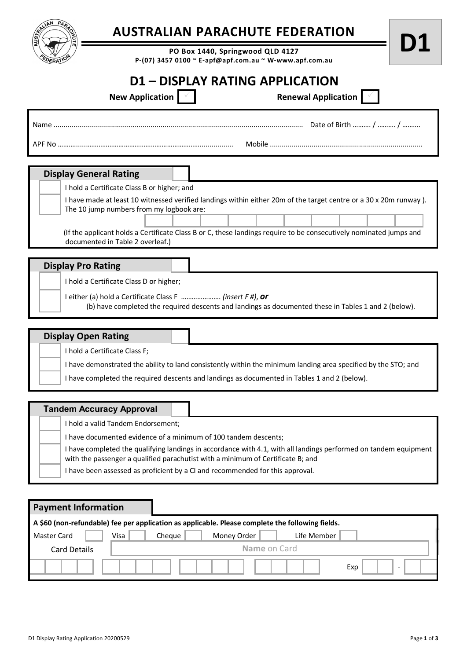

## **AUSTRALIAN PARACHUTE FEDERATION**

**PO Box 1440, Springwood QLD 4127 P-(07) 3457 0100 ~ E-apf@apf.com.au ~ W-www.apf.com.au**

## **D1 – DISPLAY RATING APPLICATION**

| New Application $\vert \vert \vert$ | <b>Renewal Application</b> |  |  |
|-------------------------------------|----------------------------|--|--|
| Name                                | Date of Birth  /  /        |  |  |
| APF No                              | Mobile                     |  |  |

| <b>Display General Rating</b>                                                                                                                                          |                                                                                                                                                               |  |  |  |  |  |  |  |
|------------------------------------------------------------------------------------------------------------------------------------------------------------------------|---------------------------------------------------------------------------------------------------------------------------------------------------------------|--|--|--|--|--|--|--|
|                                                                                                                                                                        | I hold a Certificate Class B or higher; and                                                                                                                   |  |  |  |  |  |  |  |
|                                                                                                                                                                        | I have made at least 10 witnessed verified landings within either 20m of the target centre or a 30 x 20m runway).<br>The 10 jump numbers from my logbook are: |  |  |  |  |  |  |  |
|                                                                                                                                                                        |                                                                                                                                                               |  |  |  |  |  |  |  |
| (If the applicant holds a Certificate Class B or C, these landings require to be consecutively nominated jumps and<br>documented in Table 2 overleaf.)                 |                                                                                                                                                               |  |  |  |  |  |  |  |
| <b>Display Pro Rating</b>                                                                                                                                              |                                                                                                                                                               |  |  |  |  |  |  |  |
| I hold a Certificate Class D or higher;                                                                                                                                |                                                                                                                                                               |  |  |  |  |  |  |  |
| either (a) hold a Certificate Class F $\ldots$ (insert F#), or<br>(b) have completed the required descents and landings as documented these in Tables 1 and 2 (below). |                                                                                                                                                               |  |  |  |  |  |  |  |

| <b>Display Open Rating</b>                                                                                     |
|----------------------------------------------------------------------------------------------------------------|
| I hold a Certificate Class F;                                                                                  |
| I have demonstrated the ability to land consistently within the minimum landing area specified by the STO; and |
| I have completed the required descents and landings as documented in Tables 1 and 2 (below).                   |

## **Tandem Accuracy Approval**

I hold a valid Tandem Endorsement;

I have documented evidence of a minimum of 100 tandem descents;

I have completed the qualifying landings in accordance with 4.1, with all landings performed on tandem equipment with the passenger a qualified parachutist with a minimum of Certificate B; and

I have been assessed as proficient by a CI and recommended for this approval.

| <b>Payment Information</b>                                                                       |  |      |        |              |             |               |
|--------------------------------------------------------------------------------------------------|--|------|--------|--------------|-------------|---------------|
| A \$60 (non-refundable) fee per application as applicable. Please complete the following fields. |  |      |        |              |             |               |
| <b>Master Card</b>                                                                               |  | Visa | Cheque | Money Order  | Life Member |               |
| <b>Card Details</b>                                                                              |  |      |        | Name on Card |             |               |
|                                                                                                  |  |      |        |              |             | Exp<br>$\sim$ |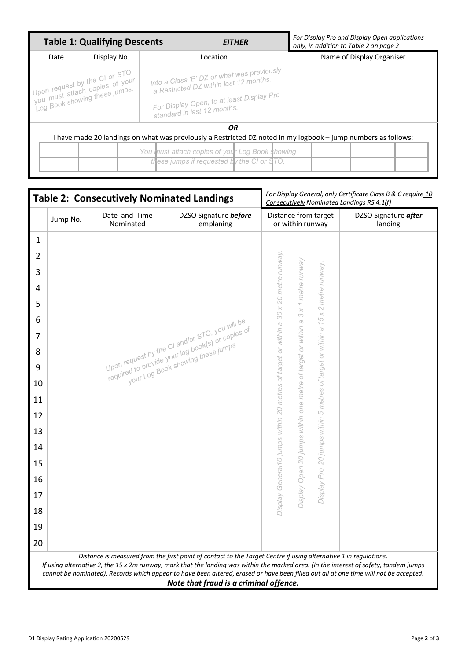|                                                                                                                                                                                                                           | <b>Table 1: Qualifying Descents</b>                                                               | For Display Pro and Display Open applications<br>only, in addition to Table 2 on page 2                                                                          |                           |  |  |  |  |
|---------------------------------------------------------------------------------------------------------------------------------------------------------------------------------------------------------------------------|---------------------------------------------------------------------------------------------------|------------------------------------------------------------------------------------------------------------------------------------------------------------------|---------------------------|--|--|--|--|
| Date                                                                                                                                                                                                                      | Display No.                                                                                       | Location                                                                                                                                                         | Name of Display Organiser |  |  |  |  |
|                                                                                                                                                                                                                           | Upon request by the CI or STO.<br>Vou must attach copies of your<br>Log Book showing these jumps. | Into a Class 'E' DZ or what was previously<br>a Restricted DZ within last 12 months.<br>For Display Open, to at least Display Pro<br>standard in last 12 months. |                           |  |  |  |  |
| <b>OR</b><br>have made 20 landings on what was previously a Restricted DZ noted in my logbook – jump numbers as follows:<br>You must attach copies of your Log Book showing<br>these jumps if requested by the CI or STO. |                                                                                                   |                                                                                                                                                                  |                           |  |  |  |  |

|                |                                                                                                                                                                                                                                                                                                                                                                                                                                               | <b>Table 2: Consecutively Nominated Landings</b> |                                                                                                     | For Display General, only Certificate Class B & C require 10<br>Consecutively Nominated Landings RS 4.1(f) |                                 |  |  |  |  |
|----------------|-----------------------------------------------------------------------------------------------------------------------------------------------------------------------------------------------------------------------------------------------------------------------------------------------------------------------------------------------------------------------------------------------------------------------------------------------|--------------------------------------------------|-----------------------------------------------------------------------------------------------------|------------------------------------------------------------------------------------------------------------|---------------------------------|--|--|--|--|
|                | Jump No.                                                                                                                                                                                                                                                                                                                                                                                                                                      | Date and Time<br>Nominated                       | DZSO Signature before<br>emplaning                                                                  | Distance from target<br>or within runway                                                                   | DZSO Signature after<br>landing |  |  |  |  |
| $\mathbf{1}$   |                                                                                                                                                                                                                                                                                                                                                                                                                                               |                                                  |                                                                                                     |                                                                                                            |                                 |  |  |  |  |
| $\overline{2}$ |                                                                                                                                                                                                                                                                                                                                                                                                                                               |                                                  |                                                                                                     |                                                                                                            |                                 |  |  |  |  |
| 3              |                                                                                                                                                                                                                                                                                                                                                                                                                                               |                                                  |                                                                                                     |                                                                                                            |                                 |  |  |  |  |
| $\overline{4}$ |                                                                                                                                                                                                                                                                                                                                                                                                                                               |                                                  |                                                                                                     | metre runway<br>metre runway                                                                               |                                 |  |  |  |  |
| 5              |                                                                                                                                                                                                                                                                                                                                                                                                                                               |                                                  |                                                                                                     | 30 x 20 metre runway.                                                                                      |                                 |  |  |  |  |
| 6              |                                                                                                                                                                                                                                                                                                                                                                                                                                               |                                                  |                                                                                                     | $\mathord{\curvearrowright}$<br>$\times$<br>$\overline{\times}$<br>M<br>$\frac{5}{2}$<br>$\mathbbm{G}$     |                                 |  |  |  |  |
| $\overline{7}$ |                                                                                                                                                                                                                                                                                                                                                                                                                                               |                                                  | Upon request by the CT and/or STO, you will be<br>required to provide your log book(s) or copies of | within a<br>or within<br>$\alpha$                                                                          |                                 |  |  |  |  |
| 8              |                                                                                                                                                                                                                                                                                                                                                                                                                                               |                                                  | Your Log Book showing these jumps                                                                   | of target or within                                                                                        |                                 |  |  |  |  |
| 9              |                                                                                                                                                                                                                                                                                                                                                                                                                                               |                                                  |                                                                                                     | target                                                                                                     |                                 |  |  |  |  |
| 10             |                                                                                                                                                                                                                                                                                                                                                                                                                                               |                                                  |                                                                                                     | 20 metres of target or                                                                                     |                                 |  |  |  |  |
| 11             |                                                                                                                                                                                                                                                                                                                                                                                                                                               |                                                  |                                                                                                     | metres                                                                                                     |                                 |  |  |  |  |
| 12             |                                                                                                                                                                                                                                                                                                                                                                                                                                               |                                                  |                                                                                                     | $\overline{\mathcal{L}}$                                                                                   |                                 |  |  |  |  |
| 13             |                                                                                                                                                                                                                                                                                                                                                                                                                                               |                                                  |                                                                                                     |                                                                                                            |                                 |  |  |  |  |
| 14             |                                                                                                                                                                                                                                                                                                                                                                                                                                               |                                                  |                                                                                                     |                                                                                                            |                                 |  |  |  |  |
| 15             |                                                                                                                                                                                                                                                                                                                                                                                                                                               |                                                  |                                                                                                     | 20 jumps within                                                                                            |                                 |  |  |  |  |
| 16             |                                                                                                                                                                                                                                                                                                                                                                                                                                               |                                                  |                                                                                                     | Display Open 20 jumps within one metre of<br>Display General10 jumps within<br>Pro                         |                                 |  |  |  |  |
| 17             |                                                                                                                                                                                                                                                                                                                                                                                                                                               |                                                  |                                                                                                     | Display                                                                                                    |                                 |  |  |  |  |
| 18             |                                                                                                                                                                                                                                                                                                                                                                                                                                               |                                                  |                                                                                                     |                                                                                                            |                                 |  |  |  |  |
|                |                                                                                                                                                                                                                                                                                                                                                                                                                                               |                                                  |                                                                                                     |                                                                                                            |                                 |  |  |  |  |
| 19             |                                                                                                                                                                                                                                                                                                                                                                                                                                               |                                                  |                                                                                                     |                                                                                                            |                                 |  |  |  |  |
| 20             |                                                                                                                                                                                                                                                                                                                                                                                                                                               |                                                  |                                                                                                     |                                                                                                            |                                 |  |  |  |  |
|                | Distance is measured from the first point of contact to the Target Centre if using alternative 1 in regulations.<br>If using alternative 2, the 15 x 2m runway, mark that the landing was within the marked area. (In the interest of safety, tandem jumps<br>cannot be nominated). Records which appear to have been altered, erased or have been filled out all at one time will not be accepted.<br>Note that fraud is a criminal offence. |                                                  |                                                                                                     |                                                                                                            |                                 |  |  |  |  |